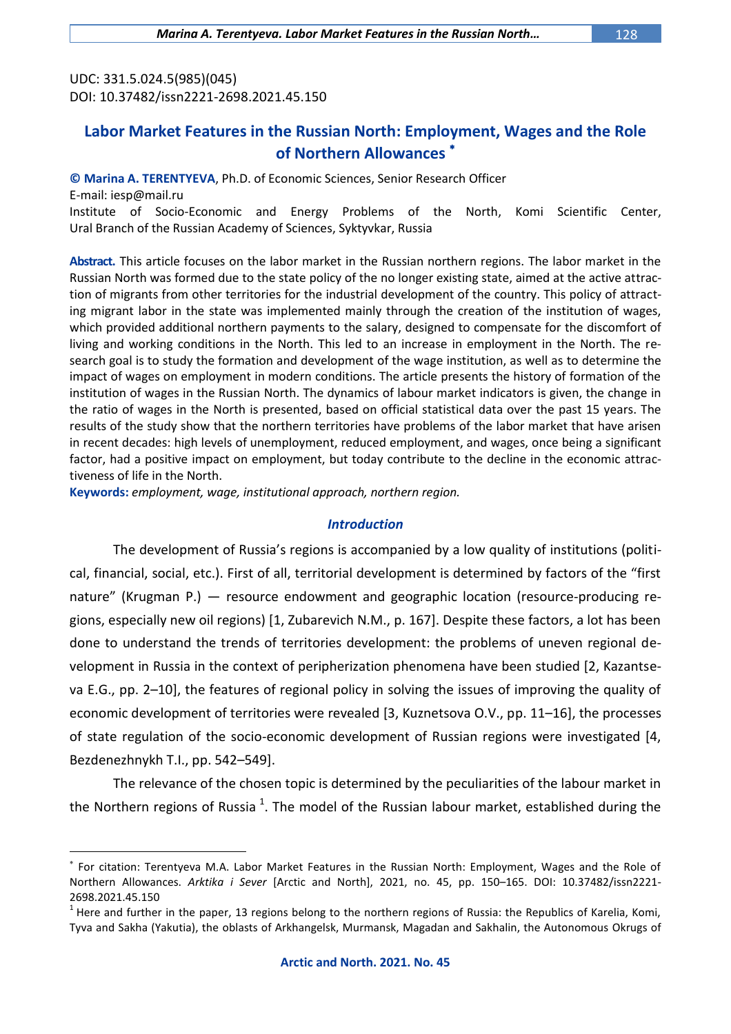UDC: 331.5.024.5(985)(045) DOI: 10.37482/issn2221-2698.2021.45.150

## **Labor Market Features in the Russian North: Employment, Wages and the Role of Northern Allowances**

### **© Marina A. TERENTYEVA**, Ph.D. of Economic Sciences, Senior Research Officer

E-mail: [iesp@mail.ru](mailto:iesp@mail.ru)

 $\overline{a}$ 

Institute of Socio-Economic and Energy Problems of the North, Komi Scientific Center, Ural Branch of the Russian Academy of Sciences, Syktyvkar, Russia

**Abstract.** This article focuses on the labor market in the Russian northern regions. The labor market in the Russian North was formed due to the state policy of the no longer existing state, aimed at the active attraction of migrants from other territories for the industrial development of the country. This policy of attracting migrant labor in the state was implemented mainly through the creation of the institution of wages, which provided additional northern payments to the salary, designed to compensate for the discomfort of living and working conditions in the North. This led to an increase in employment in the North. The research goal is to study the formation and development of the wage institution, as well as to determine the impact of wages on employment in modern conditions. The article presents the history of formation of the institution of wages in the Russian North. The dynamics of labour market indicators is given, the change in the ratio of wages in the North is presented, based on official statistical data over the past 15 years. The results of the study show that the northern territories have problems of the labor market that have arisen in recent decades: high levels of unemployment, reduced employment, and wages, once being a significant factor, had a positive impact on employment, but today contribute to the decline in the economic attractiveness of life in the North.

**Keywords:** *employment, wage, institutional approach, northern region.*

## *Introduction*

The development of Russia's regions is accompanied by a low quality of institutions (political, financial, social, etc.). First of all, territorial development is determined by factors of the "first nature" (Krugman P.) — resource endowment and geographic location (resource-producing regions, especially new oil regions) [1, Zubarevich N.M., p. 167]. Despite these factors, a lot has been done to understand the trends of territories development: the problems of uneven regional development in Russia in the context of peripherization phenomena have been studied [2, Kazantseva E.G., pp. 2–10], the features of regional policy in solving the issues of improving the quality of economic development of territories were revealed [3, Kuznetsova O.V., pp. 11–16], the processes of state regulation of the socio-economic development of Russian regions were investigated [4, Bezdenezhnykh T.I., pp. 542–549].

The relevance of the chosen topic is determined by the peculiarities of the labour market in the Northern regions of Russia  $^1$ . The model of the Russian labour market, established during the

For citation: Terentyeva M.A. Labor Market Features in the Russian North: Employment, Wages and the Role of Northern Allowances. *Arktika i Sever* [Arctic and North], 2021, no. 45, pp. 150–165. DOI: 10.37482/issn2221- 2698.2021.45.150

 $^1$  Here and further in the paper, 13 regions belong to the northern regions of Russia: the Republics of Karelia, Komi, Tyva and Sakha (Yakutia), the oblasts of Arkhangelsk, Murmansk, Magadan and Sakhalin, the Autonomous Okrugs of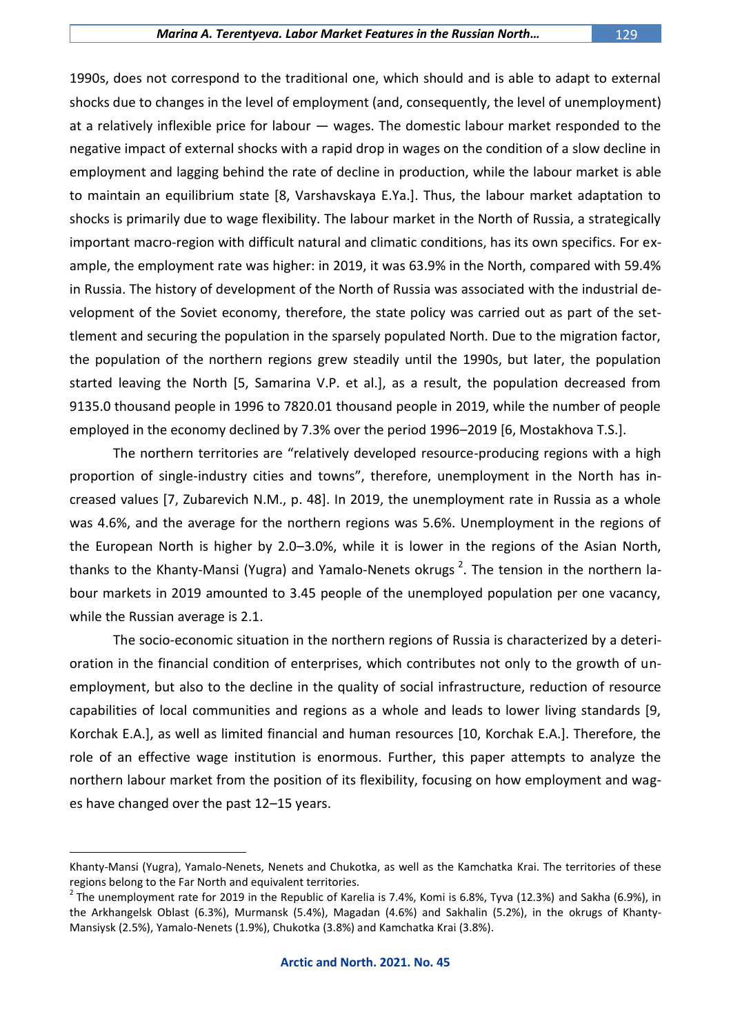#### *Marina A. Terentyeva. Labor Market Features in the Russian North…* 129

1990s, does not correspond to the traditional one, which should and is able to adapt to external shocks due to changes in the level of employment (and, consequently, the level of unemployment) at a relatively inflexible price for labour — wages. The domestic labour market responded to the negative impact of external shocks with a rapid drop in wages on the condition of a slow decline in employment and lagging behind the rate of decline in production, while the labour market is able to maintain an equilibrium state [8, Varshavskaya E.Ya.]. Thus, the labour market adaptation to shocks is primarily due to wage flexibility. The labour market in the North of Russia, a strategically important macro-region with difficult natural and climatic conditions, has its own specifics. For example, the employment rate was higher: in 2019, it was 63.9% in the North, compared with 59.4% in Russia. The history of development of the North of Russia was associated with the industrial development of the Soviet economy, therefore, the state policy was carried out as part of the settlement and securing the population in the sparsely populated North. Due to the migration factor, the population of the northern regions grew steadily until the 1990s, but later, the population started leaving the North [5, Samarina V.P. et al.], as a result, the population decreased from 9135.0 thousand people in 1996 to 7820.01 thousand people in 2019, while the number of people employed in the economy declined by 7.3% over the period 1996–2019 [6, Mostakhova T.S.].

The northern territories are "relatively developed resource-producing regions with a high proportion of single-industry cities and towns", therefore, unemployment in the North has increased values [7, Zubarevich N.M., p. 48]. In 2019, the unemployment rate in Russia as a whole was 4.6%, and the average for the northern regions was 5.6%. Unemployment in the regions of the European North is higher by 2.0–3.0%, while it is lower in the regions of the Asian North, thanks to the Khanty-Mansi (Yugra) and Yamalo-Nenets okrugs<sup>2</sup>. The tension in the northern labour markets in 2019 amounted to 3.45 people of the unemployed population per one vacancy, while the Russian average is 2.1.

The socio-economic situation in the northern regions of Russia is characterized by a deterioration in the financial condition of enterprises, which contributes not only to the growth of unemployment, but also to the decline in the quality of social infrastructure, reduction of resource capabilities of local communities and regions as a whole and leads to lower living standards [9, Korchak E.A.], as well as limited financial and human resources [10, Korchak E.A.]. Therefore, the role of an effective wage institution is enormous. Further, this paper attempts to analyze the northern labour market from the position of its flexibility, focusing on how employment and wages have changed over the past 12–15 years.

Khanty-Mansi (Yugra), Yamalo-Nenets, Nenets and Chukotka, as well as the Kamchatka Krai. The territories of these regions belong to the Far North and equivalent territories.

 $^2$  The unemployment rate for 2019 in the Republic of Karelia is 7.4%, Komi is 6.8%, Tyva (12.3%) and Sakha (6.9%), in the Arkhangelsk Oblast (6.3%), Murmansk (5.4%), Magadan (4.6%) and Sakhalin (5.2%), in the okrugs of Khanty-Mansiysk (2.5%), Yamalo-Nenets (1.9%), Chukotka (3.8%) and Kamchatka Krai (3.8%).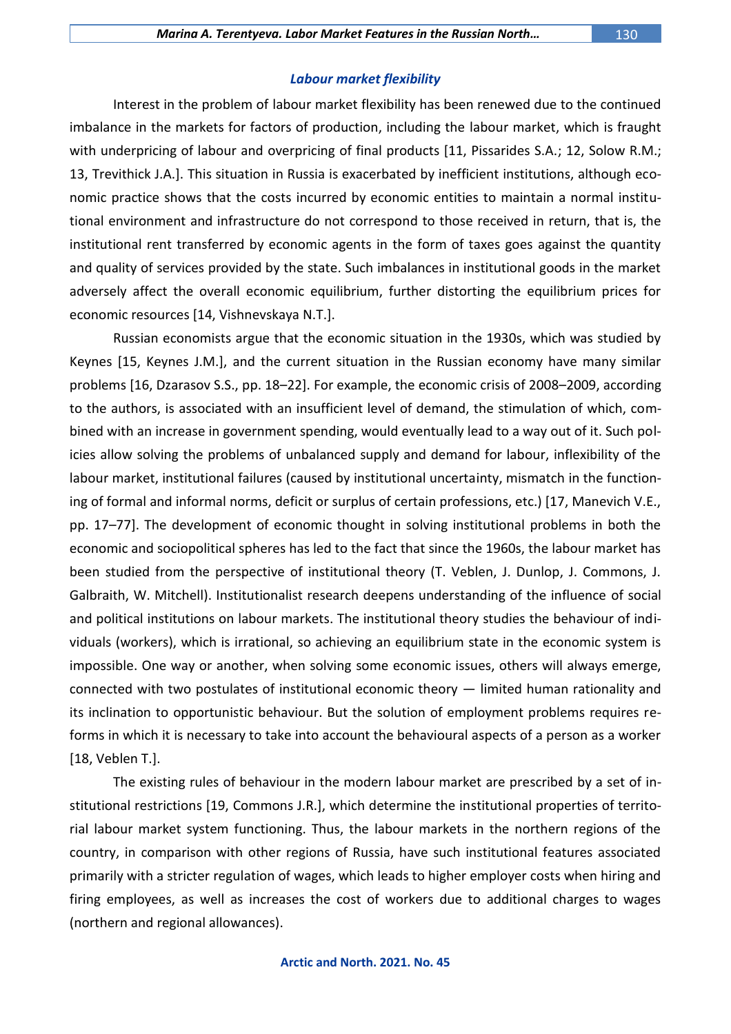### *Labour market flexibility*

Interest in the problem of labour market flexibility has been renewed due to the continued imbalance in the markets for factors of production, including the labour market, which is fraught with underpricing of labour and overpricing of final products [11, Pissarides S.A.; 12, Solow R.M.; 13, Trevithick J.A.]. This situation in Russia is exacerbated by inefficient institutions, although economic practice shows that the costs incurred by economic entities to maintain a normal institutional environment and infrastructure do not correspond to those received in return, that is, the institutional rent transferred by economic agents in the form of taxes goes against the quantity and quality of services provided by the state. Such imbalances in institutional goods in the market adversely affect the overall economic equilibrium, further distorting the equilibrium prices for economic resources [14, Vishnevskaya N.T.].

Russian economists argue that the economic situation in the 1930s, which was studied by Keynes [15, Keynes J.M.], and the current situation in the Russian economy have many similar problems [16, Dzarasov S.S., pp. 18–22]. For example, the economic crisis of 2008–2009, according to the authors, is associated with an insufficient level of demand, the stimulation of which, combined with an increase in government spending, would eventually lead to a way out of it. Such policies allow solving the problems of unbalanced supply and demand for labour, inflexibility of the labour market, institutional failures (caused by institutional uncertainty, mismatch in the functioning of formal and informal norms, deficit or surplus of certain professions, etc.) [17, Manevich V.E., pp. 17–77]. The development of economic thought in solving institutional problems in both the economic and sociopolitical spheres has led to the fact that since the 1960s, the labour market has been studied from the perspective of institutional theory (T. Veblen, J. Dunlop, J. Commons, J. Galbraith, W. Mitchell). Institutionalist research deepens understanding of the influence of social and political institutions on labour markets. The institutional theory studies the behaviour of individuals (workers), which is irrational, so achieving an equilibrium state in the economic system is impossible. One way or another, when solving some economic issues, others will always emerge, connected with two postulates of institutional economic theory — limited human rationality and its inclination to opportunistic behaviour. But the solution of employment problems requires reforms in which it is necessary to take into account the behavioural aspects of a person as a worker [18, Veblen T.].

The existing rules of behaviour in the modern labour market are prescribed by a set of institutional restrictions [19, Commons J.R.], which determine the institutional properties of territorial labour market system functioning. Thus, the labour markets in the northern regions of the country, in comparison with other regions of Russia, have such institutional features associated primarily with a stricter regulation of wages, which leads to higher employer costs when hiring and firing employees, as well as increases the cost of workers due to additional charges to wages (northern and regional allowances).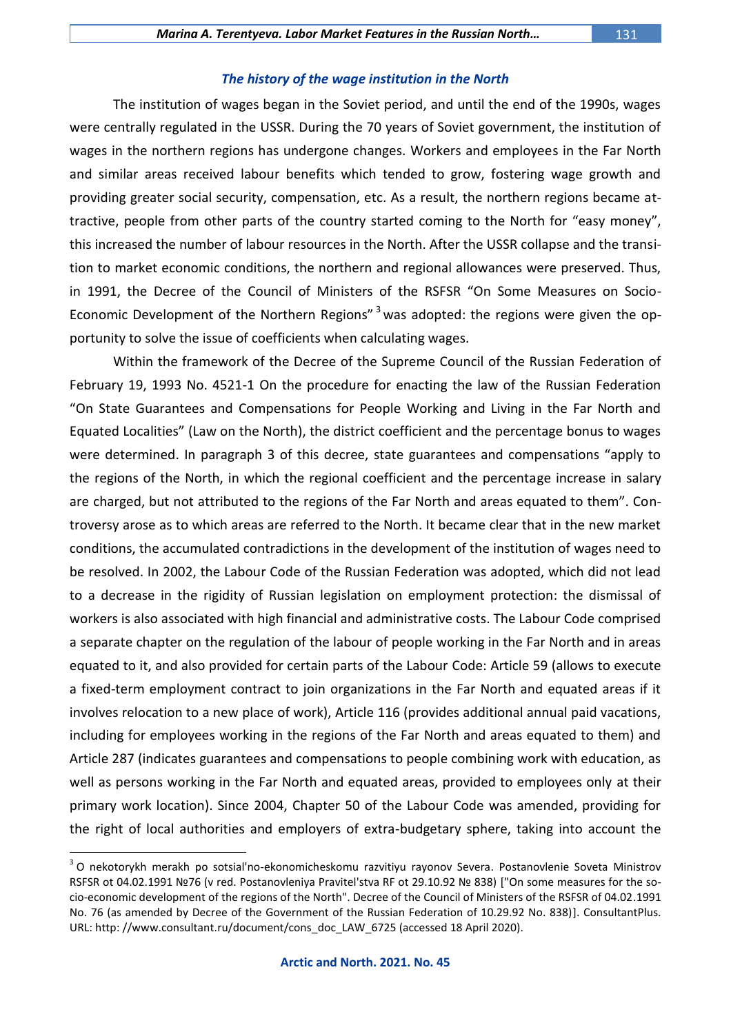#### *The history of the wage institution in the North*

The institution of wages began in the Soviet period, and until the end of the 1990s, wages were centrally regulated in the USSR. During the 70 years of Soviet government, the institution of wages in the northern regions has undergone changes. Workers and employees in the Far North and similar areas received labour benefits which tended to grow, fostering wage growth and providing greater social security, compensation, etc. As a result, the northern regions became attractive, people from other parts of the country started coming to the North for "easy money", this increased the number of labour resources in the North. After the USSR collapse and the transition to market economic conditions, the northern and regional allowances were preserved. Thus, in 1991, the Decree of the Council of Ministers of the RSFSR "On Some Measures on Socio-Economic Development of the Northern Regions"<sup>3</sup> was adopted: the regions were given the opportunity to solve the issue of coefficients when calculating wages.

Within the framework of the Decree of the Supreme Council of the Russian Federation of February 19, 1993 No. 4521-1 On the procedure for enacting the law of the Russian Federation "On State Guarantees and Compensations for People Working and Living in the Far North and Equated Localities" (Law on the North), the district coefficient and the percentage bonus to wages were determined. In paragraph 3 of this decree, state guarantees and compensations "apply to the regions of the North, in which the regional coefficient and the percentage increase in salary are charged, but not attributed to the regions of the Far North and areas equated to them". Controversy arose as to which areas are referred to the North. It became clear that in the new market conditions, the accumulated contradictions in the development of the institution of wages need to be resolved. In 2002, the Labour Code of the Russian Federation was adopted, which did not lead to a decrease in the rigidity of Russian legislation on employment protection: the dismissal of workers is also associated with high financial and administrative costs. The Labour Code comprised a separate chapter on the regulation of the labour of people working in the Far North and in areas equated to it, and also provided for certain parts of the Labour Code: Article 59 (allows to execute a fixed-term employment contract to join organizations in the Far North and equated areas if it involves relocation to a new place of work), Article 116 (provides additional annual paid vacations, including for employees working in the regions of the Far North and areas equated to them) and Article 287 (indicates guarantees and compensations to people combining work with education, as well as persons working in the Far North and equated areas, provided to employees only at their primary work location). Since 2004, Chapter 50 of the Labour Code was amended, providing for the right of local authorities and employers of extra-budgetary sphere, taking into account the

<sup>&</sup>lt;sup>3</sup> O nekotorykh merakh po sotsial'no-ekonomicheskomu razvitiyu rayonov Severa. Postanovlenie Soveta Ministrov RSFSR ot 04.02.1991 №76 (v red. Postanovleniya Pravitel'stva RF ot 29.10.92 № 838) ["On some measures for the socio-economic development of the regions of the North". Decree of the Council of Ministers of the RSFSR of 04.02.1991 No. 76 (as amended by Decree of the Government of the Russian Federation of 10.29.92 No. 838)]. ConsultantPlus. URL: http: //www.consultant.ru/document/cons\_doc\_LAW\_6725 (accessed 18 April 2020).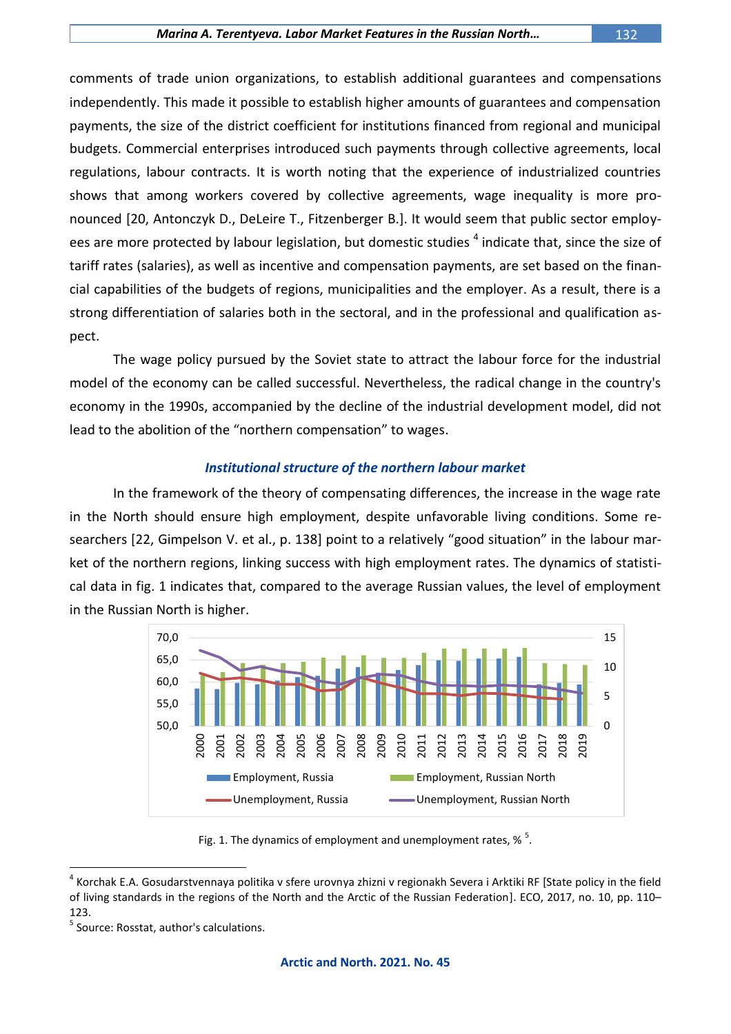comments of trade union organizations, to establish additional guarantees and compensations independently. This made it possible to establish higher amounts of guarantees and compensation payments, the size of the district coefficient for institutions financed from regional and municipal budgets. Commercial enterprises introduced such payments through collective agreements, local regulations, labour contracts. It is worth noting that the experience of industrialized countries shows that among workers covered by collective agreements, wage inequality is more pronounced [20, Antonczyk D., DeLeire T., Fitzenberger B.]. It would seem that public sector employees are more protected by labour legislation, but domestic studies <sup>4</sup> indicate that, since the size of tariff rates (salaries), as well as incentive and compensation payments, are set based on the financial capabilities of the budgets of regions, municipalities and the employer. As a result, there is a strong differentiation of salaries both in the sectoral, and in the professional and qualification aspect.

The wage policy pursued by the Soviet state to attract the labour force for the industrial model of the economy can be called successful. Nevertheless, the radical change in the country's economy in the 1990s, accompanied by the decline of the industrial development model, did not lead to the abolition of the "northern compensation" to wages.

## *Institutional structure of the northern labour market*

In the framework of the theory of compensating differences, the increase in the wage rate in the North should ensure high employment, despite unfavorable living conditions. Some researchers [22, Gimpelson V. et al., p. 138] point to a relatively "good situation" in the labour market of the northern regions, linking success with high employment rates. The dynamics of statistical data in fig. 1 indicates that, compared to the average Russian values, the level of employment in the Russian North is higher.



Fig. 1. The dynamics of employment and unemployment rates,  $\%$ <sup>5</sup>.

<sup>&</sup>lt;sup>4</sup> Korchak E.A. Gosudarstvennaya politika v sfere urovnya zhizni v regionakh Severa i Arktiki RF [State policy in the field of living standards in the regions of the North and the Arctic of the Russian Federation]. ECO, 2017, no. 10, pp. 110– 123.

<sup>&</sup>lt;sup>5</sup> Source: Rosstat, author's calculations.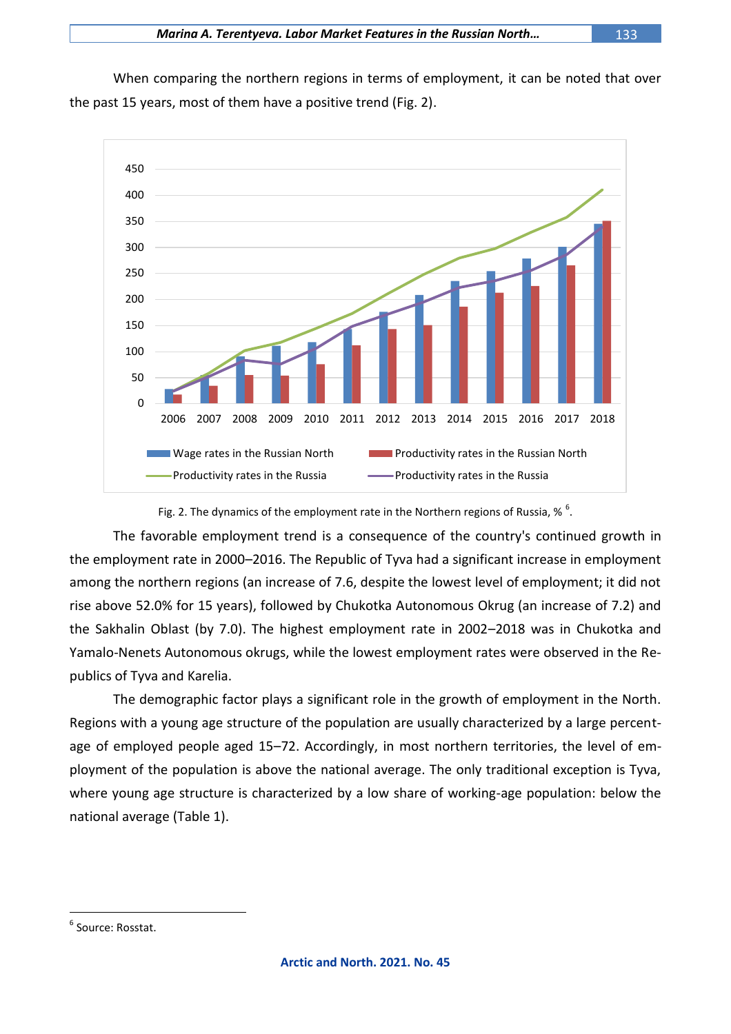When comparing the northern regions in terms of employment, it can be noted that over the past 15 years, most of them have a positive trend (Fig. 2).



Fig. 2. The dynamics of the employment rate in the Northern regions of Russia, %  $^{6}$ .

The favorable employment trend is a consequence of the country's continued growth in the employment rate in 2000–2016. The Republic of Tyva had a significant increase in employment among the northern regions (an increase of 7.6, despite the lowest level of employment; it did not rise above 52.0% for 15 years), followed by Chukotka Autonomous Okrug (an increase of 7.2) and the Sakhalin Oblast (by 7.0). The highest employment rate in 2002–2018 was in Chukotka and Yamalo-Nenets Autonomous okrugs, while the lowest employment rates were observed in the Republics of Tyva and Karelia.

The demographic factor plays a significant role in the growth of employment in the North. Regions with a young age structure of the population are usually characterized by a large percentage of employed people aged 15–72. Accordingly, in most northern territories, the level of employment of the population is above the national average. The only traditional exception is Tyva, where young age structure is characterized by a low share of working-age population: below the national average (Table 1).

<sup>&</sup>lt;sup>6</sup> Source: Rosstat.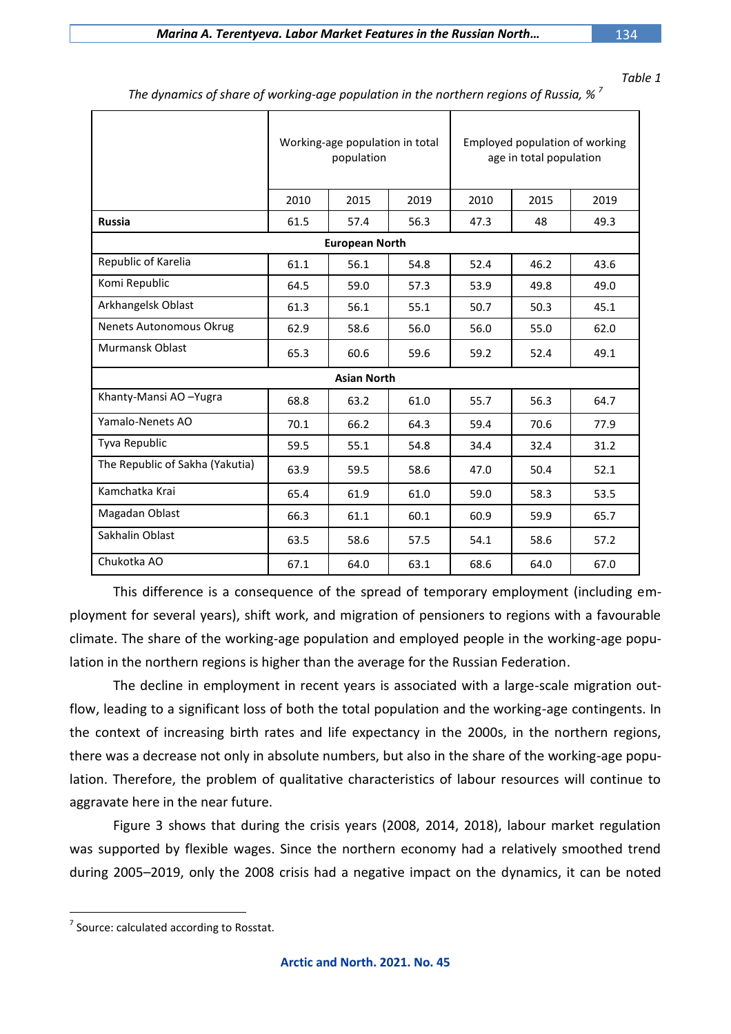*Table 1*

|                                 | Working-age population in total<br>population |      |      | Employed population of working<br>age in total population |      |      |
|---------------------------------|-----------------------------------------------|------|------|-----------------------------------------------------------|------|------|
|                                 | 2010                                          | 2015 | 2019 | 2010                                                      | 2015 | 2019 |
| <b>Russia</b>                   | 61.5                                          | 57.4 | 56.3 | 47.3                                                      | 48   | 49.3 |
| <b>European North</b>           |                                               |      |      |                                                           |      |      |
| Republic of Karelia             | 61.1                                          | 56.1 | 54.8 | 52.4                                                      | 46.2 | 43.6 |
| Komi Republic                   | 64.5                                          | 59.0 | 57.3 | 53.9                                                      | 49.8 | 49.0 |
| Arkhangelsk Oblast              | 61.3                                          | 56.1 | 55.1 | 50.7                                                      | 50.3 | 45.1 |
| Nenets Autonomous Okrug         | 62.9                                          | 58.6 | 56.0 | 56.0                                                      | 55.0 | 62.0 |
| Murmansk Oblast                 | 65.3                                          | 60.6 | 59.6 | 59.2                                                      | 52.4 | 49.1 |
| <b>Asian North</b>              |                                               |      |      |                                                           |      |      |
| Khanty-Mansi AO-Yugra           | 68.8                                          | 63.2 | 61.0 | 55.7                                                      | 56.3 | 64.7 |
| Yamalo-Nenets AO                | 70.1                                          | 66.2 | 64.3 | 59.4                                                      | 70.6 | 77.9 |
| Tyva Republic                   | 59.5                                          | 55.1 | 54.8 | 34.4                                                      | 32.4 | 31.2 |
| The Republic of Sakha (Yakutia) | 63.9                                          | 59.5 | 58.6 | 47.0                                                      | 50.4 | 52.1 |
| Kamchatka Krai                  | 65.4                                          | 61.9 | 61.0 | 59.0                                                      | 58.3 | 53.5 |
| Magadan Oblast                  | 66.3                                          | 61.1 | 60.1 | 60.9                                                      | 59.9 | 65.7 |
| Sakhalin Oblast                 | 63.5                                          | 58.6 | 57.5 | 54.1                                                      | 58.6 | 57.2 |
| Chukotka AO                     | 67.1                                          | 64.0 | 63.1 | 68.6                                                      | 64.0 | 67.0 |

*The dynamics of share of working-age population in the northern regions of Russia, % <sup>7</sup>*

This difference is a consequence of the spread of temporary employment (including employment for several years), shift work, and migration of pensioners to regions with a favourable climate. The share of the working-age population and employed people in the working-age population in the northern regions is higher than the average for the Russian Federation.

The decline in employment in recent years is associated with a large-scale migration outflow, leading to a significant loss of both the total population and the working-age contingents. In the context of increasing birth rates and life expectancy in the 2000s, in the northern regions, there was a decrease not only in absolute numbers, but also in the share of the working-age population. Therefore, the problem of qualitative characteristics of labour resources will continue to aggravate here in the near future.

Figure 3 shows that during the crisis years (2008, 2014, 2018), labour market regulation was supported by flexible wages. Since the northern economy had a relatively smoothed trend during 2005–2019, only the 2008 crisis had a negative impact on the dynamics, it can be noted

 $\overline{a}$  $\frac{7}{7}$  Source: calculated according to Rosstat.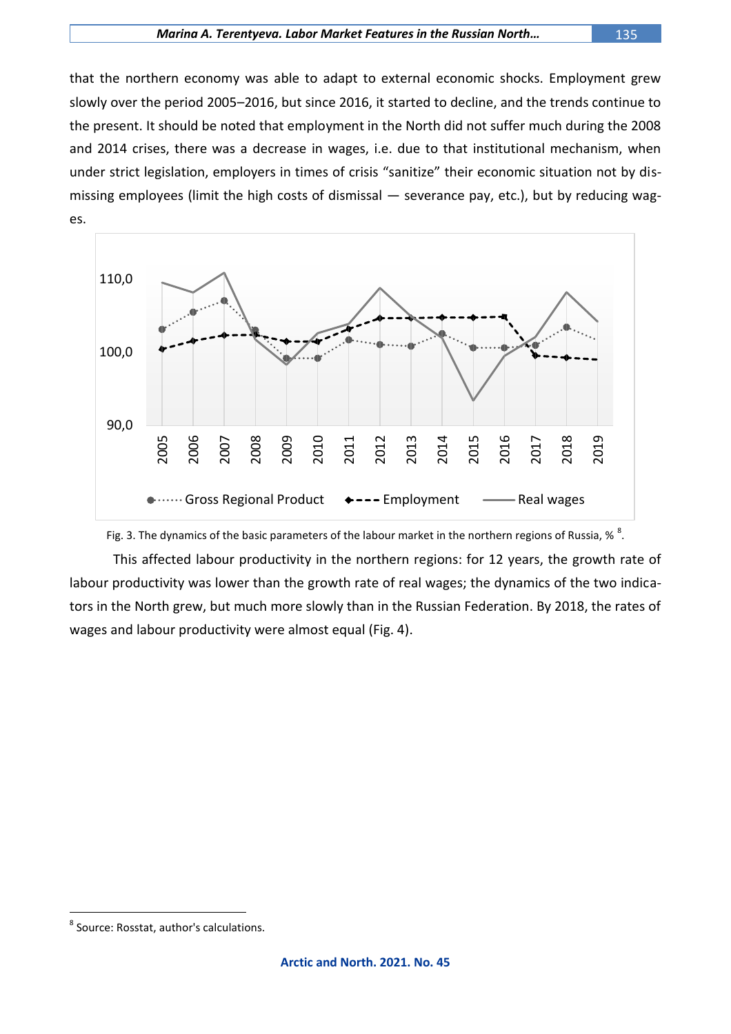#### *Marina A. Terentyeva. Labor Market Features in the Russian North…* 135

that the northern economy was able to adapt to external economic shocks. Employment grew slowly over the period 2005–2016, but since 2016, it started to decline, and the trends continue to the present. It should be noted that employment in the North did not suffer much during the 2008 and 2014 crises, there was a decrease in wages, i.e. due to that institutional mechanism, when under strict legislation, employers in times of crisis "sanitize" their economic situation not by dismissing employees (limit the high costs of dismissal — severance pay, etc.), but by reducing wages.



## Fig. 3. The dynamics of the basic parameters of the labour market in the northern regions of Russia, %  $^{8}$ .

This affected labour productivity in the northern regions: for 12 years, the growth rate of labour productivity was lower than the growth rate of real wages; the dynamics of the two indicators in the North grew, but much more slowly than in the Russian Federation. By 2018, the rates of wages and labour productivity were almost equal (Fig. 4).

<sup>8</sup> Source: Rosstat, author's calculations.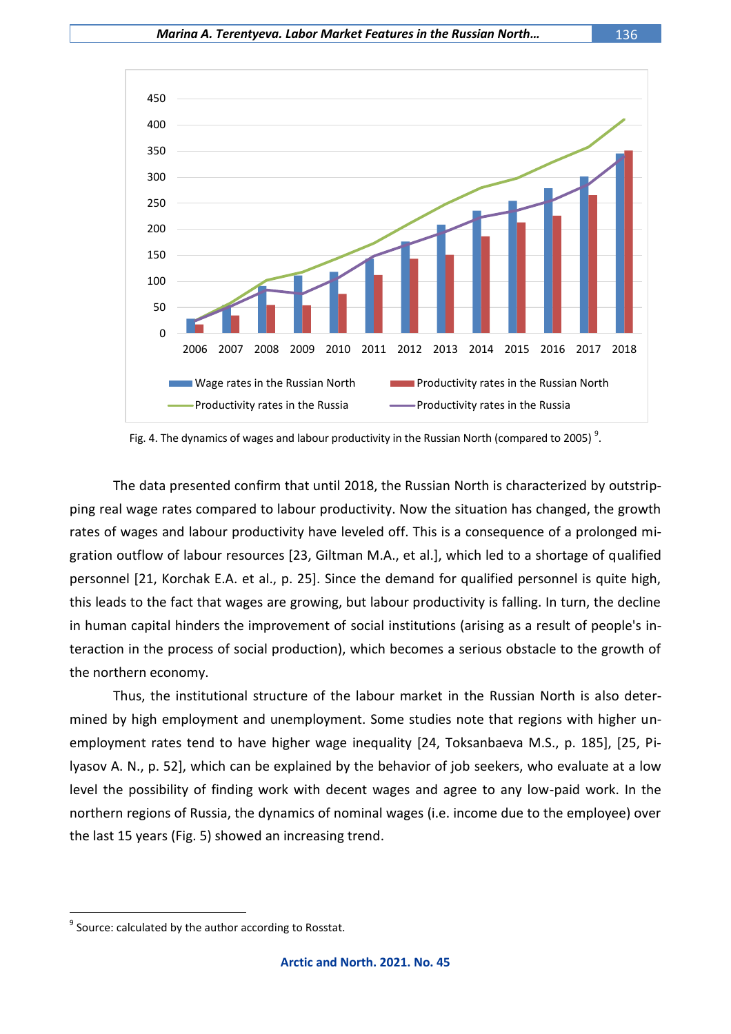

Fig. 4. The dynamics of wages and labour productivity in the Russian North (compared to 2005)<sup>9</sup>.

The data presented confirm that until 2018, the Russian North is characterized by outstripping real wage rates compared to labour productivity. Now the situation has changed, the growth rates of wages and labour productivity have leveled off. This is a consequence of a prolonged migration outflow of labour resources [23, Giltman M.A., et al.], which led to a shortage of qualified personnel [21, Korchak E.A. et al., p. 25]. Since the demand for qualified personnel is quite high, this leads to the fact that wages are growing, but labour productivity is falling. In turn, the decline in human capital hinders the improvement of social institutions (arising as a result of people's interaction in the process of social production), which becomes a serious obstacle to the growth of the northern economy.

Thus, the institutional structure of the labour market in the Russian North is also determined by high employment and unemployment. Some studies note that regions with higher unemployment rates tend to have higher wage inequality [24, Toksanbaeva M.S., p. 185], [25, Pilyasov A. N., p. 52], which can be explained by the behavior of job seekers, who evaluate at a low level the possibility of finding work with decent wages and agree to any low-paid work. In the northern regions of Russia, the dynamics of nominal wages (i.e. income due to the employee) over the last 15 years (Fig. 5) showed an increasing trend.

 $^9$  Source: calculated by the author according to Rosstat.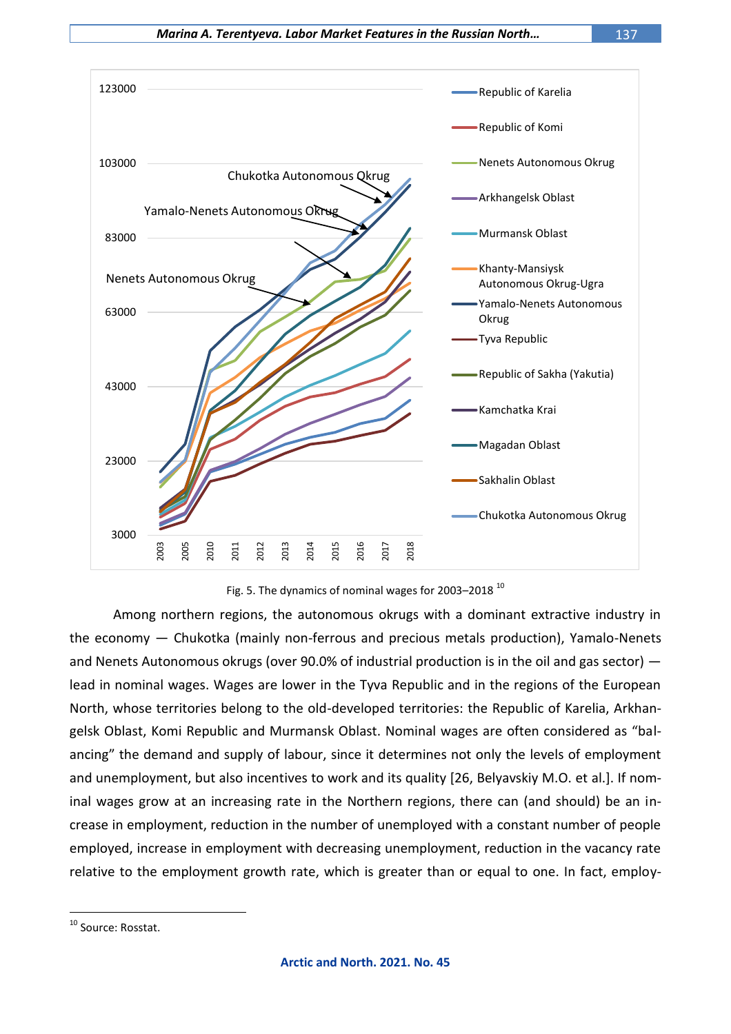



Among northern regions, the autonomous okrugs with a dominant extractive industry in the economy — Chukotka (mainly non-ferrous and precious metals production), Yamalo-Nenets and Nenets Autonomous okrugs (over 90.0% of industrial production is in the oil and gas sector) lead in nominal wages. Wages are lower in the Tyva Republic and in the regions of the European North, whose territories belong to the old-developed territories: the Republic of Karelia, Arkhangelsk Oblast, Komi Republic and Murmansk Oblast. Nominal wages are often considered as "balancing" the demand and supply of labour, since it determines not only the levels of employment and unemployment, but also incentives to work and its quality [26, Belyavskiy M.O. et al.]. If nominal wages grow at an increasing rate in the Northern regions, there can (and should) be an increase in employment, reduction in the number of unemployed with a constant number of people employed, increase in employment with decreasing unemployment, reduction in the vacancy rate relative to the employment growth rate, which is greater than or equal to one. In fact, employ-

<sup>&</sup>lt;sup>10</sup> Source: Rosstat.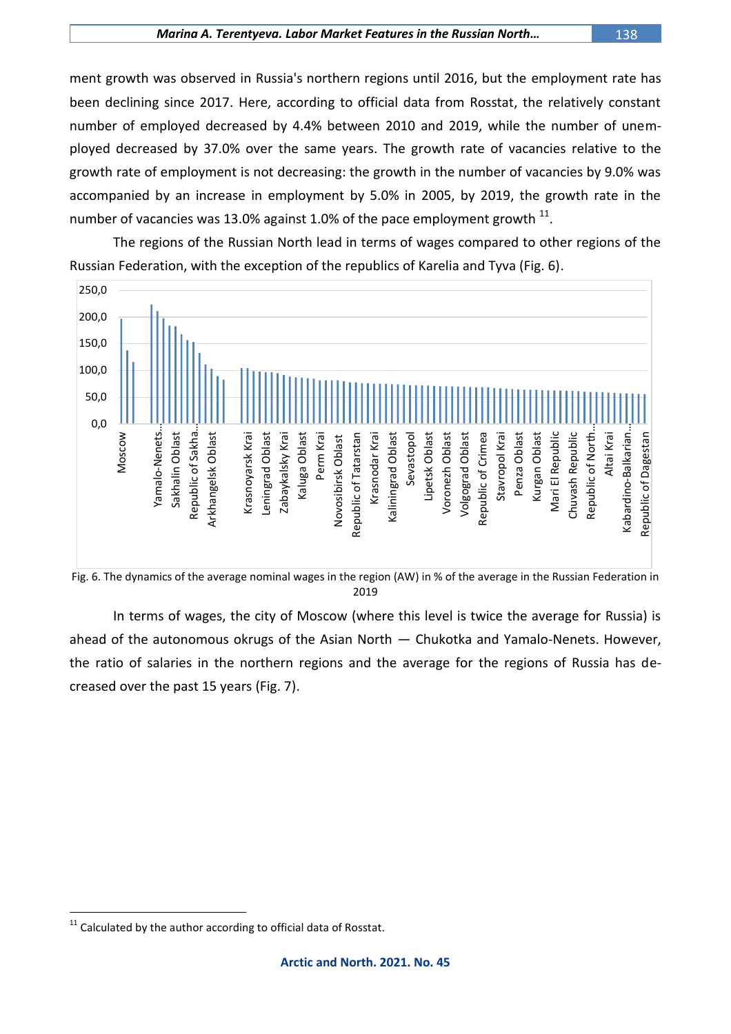ment growth was observed in Russia's northern regions until 2016, but the employment rate has been declining since 2017. Here, according to official data from Rosstat, the relatively constant number of employed decreased by 4.4% between 2010 and 2019, while the number of unemployed decreased by 37.0% over the same years. The growth rate of vacancies relative to the growth rate of employment is not decreasing: the growth in the number of vacancies by 9.0% was accompanied by an increase in employment by 5.0% in 2005, by 2019, the growth rate in the number of vacancies was 13.0% against 1.0% of the pace employment growth  $^{11}$ .

The regions of the Russian North lead in terms of wages compared to other regions of the Russian Federation, with the exception of the republics of Karelia and Tyva (Fig. 6).



2019

In terms of wages, the city of Moscow (where this level is twice the average for Russia) is ahead of the autonomous okrugs of the Asian North — Chukotka and Yamalo-Nenets. However, the ratio of salaries in the northern regions and the average for the regions of Russia has decreased over the past 15 years (Fig. 7).

 $\overline{a}$  $11$  Calculated by the author according to official data of Rosstat.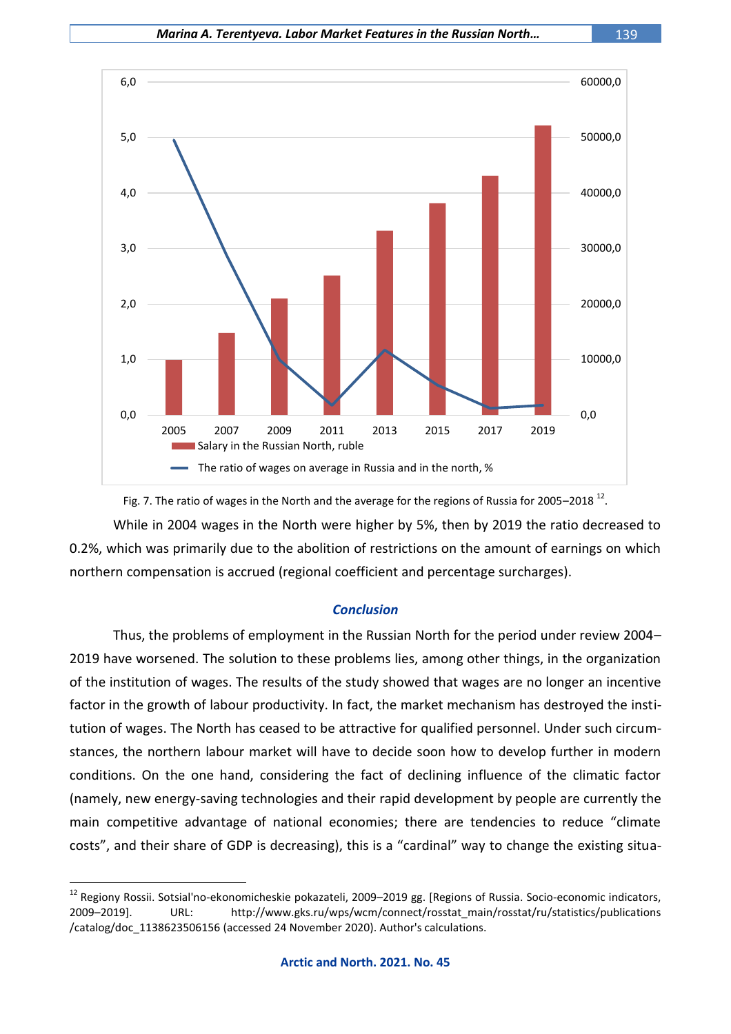

# While in 2004 wages in the North were higher by 5%, then by 2019 the ratio decreased to 0.2%, which was primarily due to the abolition of restrictions on the amount of earnings on which northern compensation is accrued (regional coefficient and percentage surcharges).

## *Conclusion*

Thus, the problems of employment in the Russian North for the period under review 2004– 2019 have worsened. The solution to these problems lies, among other things, in the organization of the institution of wages. The results of the study showed that wages are no longer an incentive factor in the growth of labour productivity. In fact, the market mechanism has destroyed the institution of wages. The North has ceased to be attractive for qualified personnel. Under such circumstances, the northern labour market will have to decide soon how to develop further in modern conditions. On the one hand, considering the fact of declining influence of the climatic factor (namely, new energy-saving technologies and their rapid development by people are currently the main competitive advantage of national economies; there are tendencies to reduce "climate costs", and their share of GDP is decreasing), this is a "cardinal" way to change the existing situa-

<sup>&</sup>lt;sup>12</sup> Regiony Rossii. Sotsial'no-ekonomicheskie pokazateli, 2009–2019 gg. [Regions of Russia. Socio-economic indicators, 2009–2019]. URL: http://www.gks.ru/wps/wcm/connect/rosstat\_main/rosstat/ru/statistics/publications /catalog/doc\_1138623506156 (accessed 24 November 2020). Author's calculations.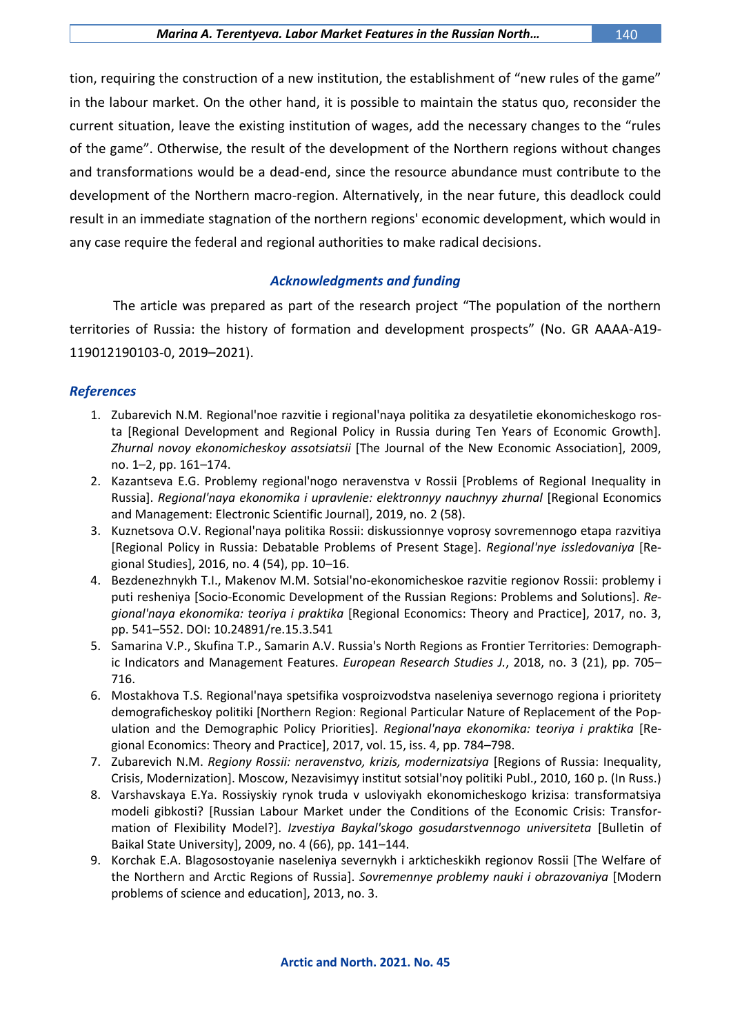tion, requiring the construction of a new institution, the establishment of "new rules of the game" in the labour market. On the other hand, it is possible to maintain the status quo, reconsider the current situation, leave the existing institution of wages, add the necessary changes to the "rules of the game". Otherwise, the result of the development of the Northern regions without changes and transformations would be a dead-end, since the resource abundance must contribute to the development of the Northern macro-region. Alternatively, in the near future, this deadlock could result in an immediate stagnation of the northern regions' economic development, which would in any case require the federal and regional authorities to make radical decisions.

## *Acknowledgments and funding*

The article was prepared as part of the research project "The population of the northern territories of Russia: the history of formation and development prospects" (No. GR АААА-А19- 119012190103-0, 2019–2021).

## *References*

- 1. Zubarevich N.M. Regional'noe razvitie i regional'naya politika za desyatiletie ekonomicheskogo rosta [Regional Development and Regional Policy in Russia during Ten Years of Economic Growth]. *Zhurnal novoy ekonomicheskoy assotsiatsii* [The Journal of the New Economic Association], 2009, no. 1–2, pp. 161–174.
- 2. Kazantseva E.G. Problemy regional'nogo neravenstva v Rossii [Problems of Regional Inequality in Russia]. *Regional'naya ekonomika i upravlenie: elektronnyy nauchnyy zhurnal* [Regional Economics and Management: Electronic Scientific Journal], 2019, no. 2 (58).
- 3. Kuznetsova O.V. Regional'naya politika Rossii: diskussionnye voprosy sovremennogo etapa razvitiya [Regional Policy in Russia: Debatable Problems of Present Stage]. *Regional'nye issledovaniya* [Regional Studies], 2016, no. 4 (54), pp. 10–16.
- 4. Bezdenezhnykh T.I., Makenov M.M. Sotsial'no-ekonomicheskoe razvitie regionov Rossii: problemy i puti resheniya [Socio-Economic Development of the Russian Regions: Problems and Solutions]. *Regional'naya ekonomika: teoriya i praktika* [Regional Economics: Theory and Practice], 2017, no. 3, pp. 541–552. DOI: [10.24891/re.15.3.541](https://doi.org/10.24891/re.15.3.541)
- 5. Samarina V.P., Skufina T.P., Samarin A.V. Russia's North Regions as Frontier Territories: Demographic Indicators and Management Features. *European Research Studies J.*, 2018, no. 3 (21), pp. 705– 716.
- 6. Mostakhova T.S. Regional'naya spetsifika vosproizvodstva naseleniya severnogo regiona i prioritety demograficheskoy politiki [Northern Region: Regional Particular Nature of Replacement of the Population and the Demographic Policy Priorities]. *Regional'naya ekonomika: teoriya i praktika* [Regional Economics: Theory and Practice], 2017, vol. 15, iss. 4, pp. 784–798.
- 7. Zubarevich N.M. *Regiony Rossii: neravenstvo, krizis, modernizatsiya* [Regions of Russia: Inequality, Crisis, Modernization]. Moscow, Nezavisimyy institut sotsial'noy politiki Publ., 2010, 160 p. (In Russ.)
- 8. Varshavskaya E.Ya. Rossiyskiy rynok truda v usloviyakh ekonomicheskogo krizisa: transformatsiya modeli gibkosti? [Russian Labour Market under the Conditions of the Economic Crisis: Transformation of Flexibility Model?]. *Izvestiya Baykal'skogo gosudarstvennogo universiteta* [Bulletin of Baikal State University], 2009, no. 4 (66), pp. 141–144.
- 9. Korchak E.A. Blagosostoyanie naseleniya severnykh i arkticheskikh regionov Rossii [The Welfare of the Northern and Arctic Regions of Russia]. *Sovremennye problemy nauki i obrazovaniya* [Modern problems of science and education], 2013, no. 3.